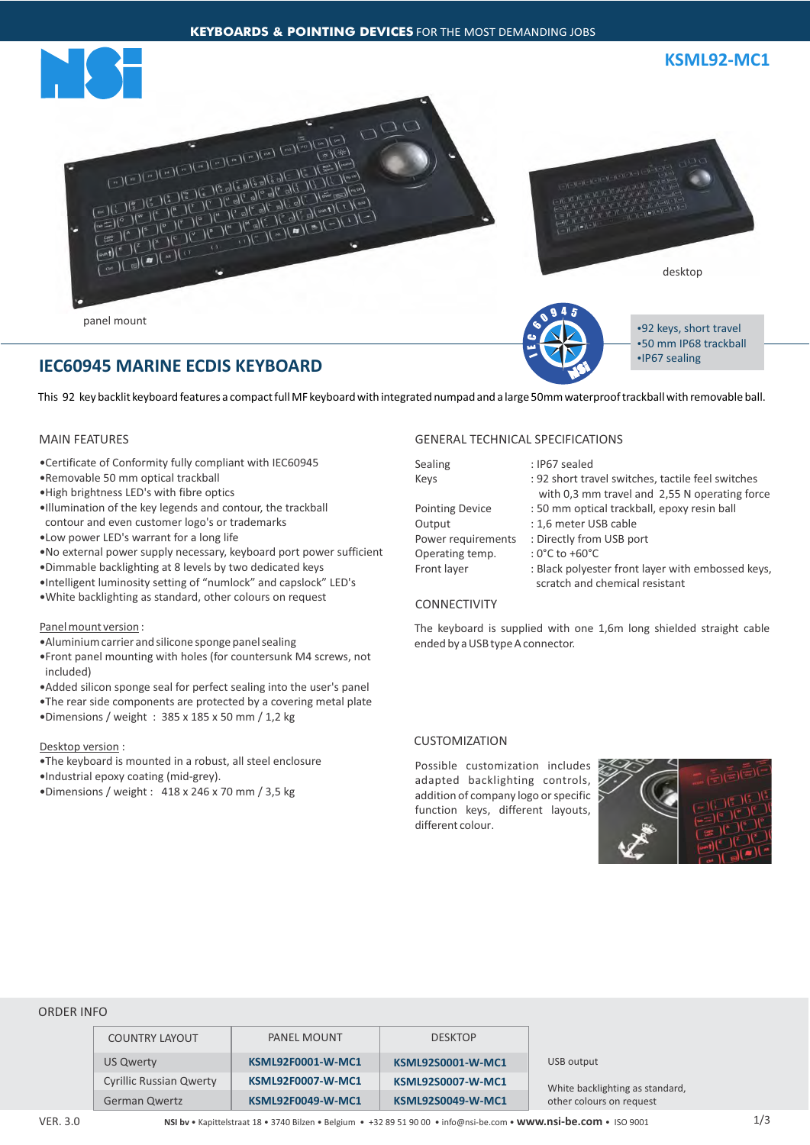



**KSML92-MC1**



panel mount



•92 keys, short travel •50 mm IP68 trackball •IP67 sealing

# **IEC60945 MARINE ECDIS KEYBOARD**

This 92 key backlit keyboard features a compact full MF keyboard with integrated numpad and a large 50mm waterproof trackball with removable ball.

# MAIN FEATURES

- —Certificate of Conformity fully compliant with IEC60945
- —Removable 50 mm optical trackball
- —High brightness LED's with fibre optics
- —Illumination of the key legends and contour, the trackball contour and even customer logo's or trademarks
- —Low power LED's warrant for a long life
- —No external power supply necessary, keyboard port power sufficient
- —Dimmable backlighting at 8 levels by two dedicated keys
- —Intelligent luminosity setting of "numlock" and capslock" LED's
- —White backlighting as standard, other colours on request

#### Panel mount version :

- —Aluminium carrier and silicone sponge panel sealing
- —Front panel mounting with holes (for countersunk M4 screws, not included)
- —Added silicon sponge seal for perfect sealing into the user's panel
- —The rear side components are protected by a covering metal plate
- —Dimensions / weight : 385 x 185 x 50 mm / 1,2 kg

## Desktop version :

—The keyboard is mounted in a robust, all steel enclosure

—Industrial epoxy coating (mid-grey).

—Dimensions / weight : 418 x 246 x 70 mm / 3,5 kg

# GENERAL TECHNICAL SPECIFICATIONS

| Sealing                | : IP67 sealed                                     |  |  |
|------------------------|---------------------------------------------------|--|--|
| Keys                   | : 92 short travel switches, tactile feel switches |  |  |
|                        | with 0,3 mm travel and 2,55 N operating force     |  |  |
| <b>Pointing Device</b> | : 50 mm optical trackball, epoxy resin ball       |  |  |
| Output                 | : 1,6 meter USB cable                             |  |  |
| Power requirements     | : Directly from USB port                          |  |  |
| Operating temp.        | : $0^{\circ}$ C to +60 $^{\circ}$ C               |  |  |
| Front layer            | : Black polyester front layer with embossed keys, |  |  |
|                        | scratch and chemical resistant                    |  |  |

# CONNECTIVITY

The keyboard is supplied with one 1,6m long shielded straight cable ended by a USB type A connector.

# **CUSTOMIZATION**

Possible customization includes adapted backlighting controls, addition of company logo or specific function keys, different layouts, different colour.



### ORDER INFO

| <b>COUNTRY LAYOUT</b>          | <b>PANEL MOUNT</b>       | <b>DESKTOP</b>           |                                 |  |
|--------------------------------|--------------------------|--------------------------|---------------------------------|--|
| US Qwerty                      | <b>KSML92F0001-W-MC1</b> | <b>KSML92S0001-W-MC1</b> | USB output                      |  |
| <b>Cyrillic Russian Qwerty</b> | <b>KSML92F0007-W-MC1</b> | <b>KSML92S0007-W-MC1</b> | White backlighting as standard, |  |
| <b>German Qwertz</b>           | <b>KSML92F0049-W-MC1</b> | <b>KSML92S0049-W-MC1</b> | other colours on request        |  |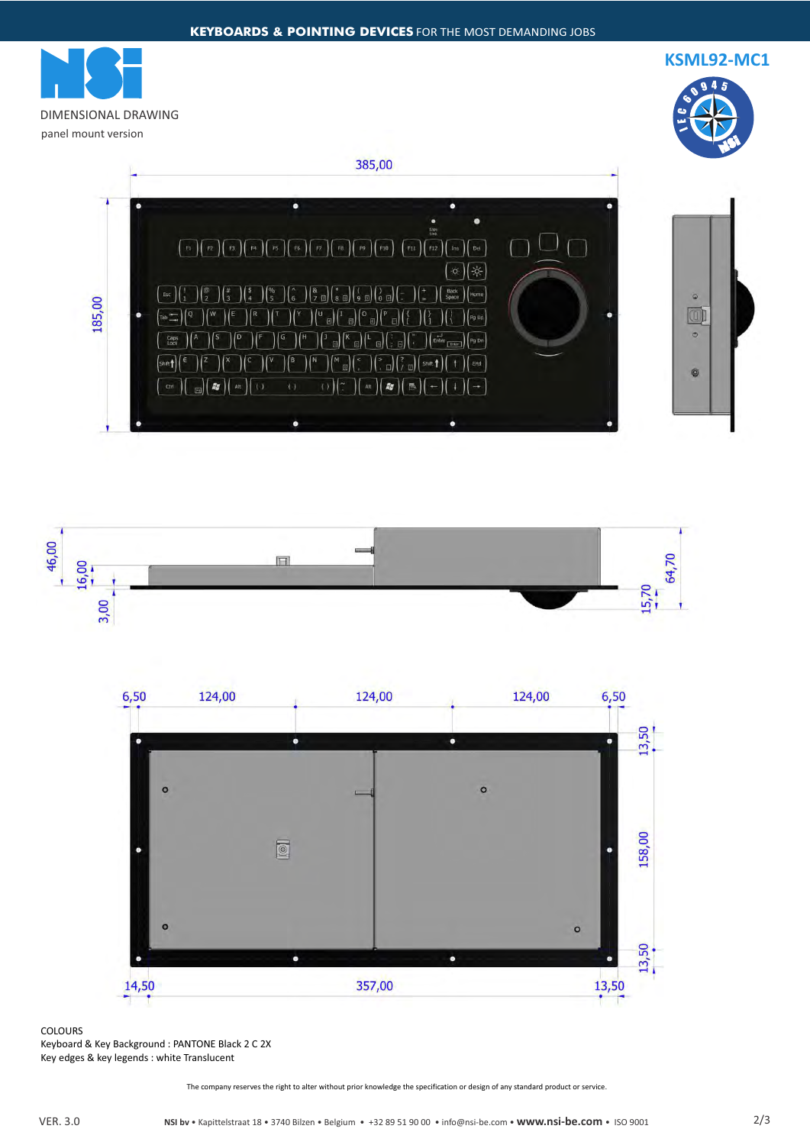**KSML92-MC1**



DIMENSIONAL DRAWING panel mount version

385,00







COLOURS Keyboard & Key Background : PANTONE Black 2 C 2X Key edges & key legends : white Translucent

The company reserves the right to alter without prior knowledge the specification or design of any standard product or service.